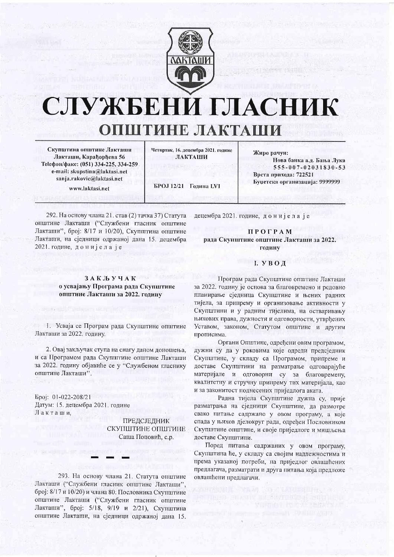

# СЛУЖБЕНИ ГЛАСНИК ОПШТИНЕ ЛАКТАШИ

Скупштина општине Лакташи Лакташи, Карађорђева 56 Теlефон/факс: (051) 334-225, 334-259 e-mail: skupstina@laktasi.net sanja.rakovic@laktasi.net www.laktasi.net

Четвртак, 16. децембра 2021. године ЛАКТАНИ

Жиро рачун: Нова банка а.л. Бања Лука 555-007-02031830-53 Воста прихода: 722521 Буџетска организација: 9999999

БРОЈ 12/21 Голина LVI

292. На основу члана 21. став (2) тачка 37) Статута општине Лакташи ("Службени гласник општине Лакташи", број: 8/17 и 10/20), Скупштина општине Лакташи, на сједници одржаној дана 15. децембра 2021. године, донијела је

## І. УВОД

**ПРОГРАМ** 

рада Скупштине општине Лакташи за 2022.

годину

децембра 2021. године, донијела је

Програм рада Скупштине општине Лакташи за 2022. годину је основа за благовремено и редовно планирање сједница Скупштине и њених радних тијела, за припрему и организовање активности у Скупштини и у радним тијелима, на остваривању њихових права, дужности и одговорности, утврђених Уставом, законом, Статутом општине и другим прописима.

Органи Општине, одређени овим програмом, дужни су да у роковима које одреди предсједник Скупштине, у складу са Програмом, припреме и доставе Скупштини на разматрање одговарајуће материјале и одговорни су за благовремену, квалитетну и стручну припрему тих материјала, као и за законитост поднесених приједлога аката.

Радна тијела Скупштине дужна су, прије разматрања на сједници Скупштине, да размотре свако питање садржано у овом програму, а које спада у њихов дјелокруг рада, одређен Пословником Скупштине општине, и своје приједлоге и мишљења доставе Скупштини.

Поред питања садржаних у овом програму, Скупштина ће, у складу са својим надлежностима и према указаној потреби, на приједлог овлашћених предлагача, разматрати и друга питања која предложе овлашћени предлагачи.

nn R<sup>eyn</sup> ann

**ЗАКЉУЧАК** о усвајању Програма рада Скупштине општине Лакташи за 2022. годину

1. Усваја се Програм рада Скупштине општине Лакташи за 2022. годину.

2. Овај закључак ступа на снагу даном доношења, и са Програмом рада Скупштине општине Лакташи за 2022. годину објавиће се у "Службеном гласнику општине Лакташи".

Epoj: 01-022-208/21 Датум: 15. децембра 2021. године Лакташи.

**ПРЕДСЈЕДНИК** СКУПШТИНЕ ОПШТИНЕ Саша Поповић, с.р.

293. На основу члана 21. Статута општине Лакташи ("Службени гласник општине Лакташи", број: 8/17 и 10/20) и члана 80. Пословника Скупштине општине Лакташи ("Службени гласник општине Лакташи", број: 5/18, 9/19 и 2/21), Скупштина општине Лакташи, на сједници одржаној дана 15.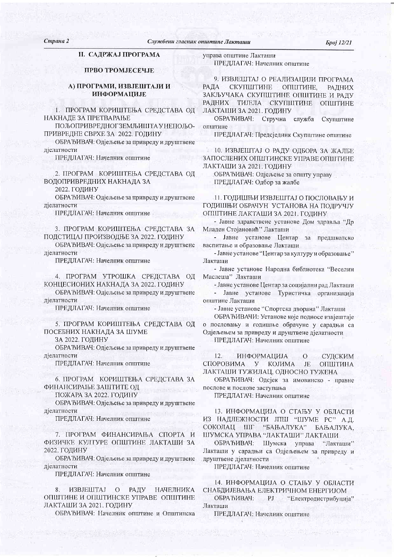*Gpoj 12/21* 

# **II. САДРЖАЈ ПРОГРАМА**

## ПРВО ТРОМЈЕСЕЧЈЕ

# А) ПРОГРАМИ, ИЗВЈЕШТАЈИ И **ИНФОРМАЦИЈЕ**

1. ПРОГРАМ КОРИШТЕЊА СРЕДСТАВА ОД НАКНАДЕ ЗА ПРЕТВАРАЊЕ

ПОЉОПРИВРЕДНОГЗЕМЉИШТА У НЕПОЉО-ПРИВРЕДНЕ СВРХЕ ЗА 2022. ГОДИНУ

ОБРАЂИВАЧ: Одјељење за привреду и друштвене дјелатности

ПРЕДЛАГАЧ: Начелник општине

2. ПРОГРАМ КОРИШТЕЊА СРЕДСТАВА ОД ВОДОПРИВРЕДНИХ НАКНАДА ЗА

2022. ГОДИНУ

ОБРАЂИВАЧ: Одјељење за привреду и друштвене дјелатности

ПРЕДЛАГАЧ: Начелник општине

3. ПРОГРАМ КОРИШТЕЊА СРЕДСТАВА ЗА ПОДСТИЦАЈ ПРОИЗВОДЊЕ ЗА 2022. ГОДИНУ

ОБРАЂИВАЧ: Одјељење за привреду и друштвене ліелатности

ПРЕДЛАГАЧ: Начелник општине

4. ПРОГРАМ УТРОШКА СРЕДСТАВА ОД КОНЦЕСИОНИХ НАКНАДА ЗА 2022. ГОДИНУ

ОБРАЂИВАЧ: Одјељење за привреду и друштвене дјелатности

ПРЕДЛАГАЧ: Начелник општине

5. ПРОГРАМ КОРИШТЕЊА СРЕДСТАВА ОД ПОСЕБНИХ НАКНАДА ЗА ШУМЕ

ЗА 2022. ГОДИНУ

ОБРАЂИВАЧ: Одјељење за привреду и друштвене дјелатности

ПРЕДЛАГАЧ: Начелник општине

6. ПРОГРАМ КОРИШТЕЊА СРЕДСТАВА ЗА ФИНАНСИРАЊЕ ЗАШТИТЕ ОД

ПОЖАРА ЗА 2022. ГОДИНУ

ОБРАЂИВАЧ: Одјељење за привреду и друштвене дјелатности

ПРЕДЛАГАЧ: Начелник општине

7. ПРОГРАМ ФИНАНСИРАЊА СПОРТА И ФИЗИЧКЕ КУЛТУРЕ ОПШТИНЕ ЛАКТАШИ ЗА 2022. ГОДИНУ

ОБРАЂИВАЧ: Одјељење за привреду и друштвене дјелатности

ПРЕДЛАГАЧ: Начелник општине

ИЗВЈЕШТАЈ  $\overline{O}$ РАДУ НАЧЕЛНИКА ОПШТИНЕ И ОПШТИНСКЕ УПРАВЕ ОПШТИНЕ ЛАКТАШИ ЗА 2021. ГОДИНУ

ОБРАЂИВАЧ: Начелник општине и Општинска

управа општине Лакташи ПРЕДЛАГАЧ: Начелник општине

9. ИЗВЈЕШТАЈ О РЕАЛИЗАЦИЈИ ПРОГРАМА **РАДА** СКУПШТИНЕ ОПШТИНЕ. **РАДНИХ** ЗАКЉУЧАКА СКУПШТИНЕ ОПШТИНЕ И РАДУ РАДНИХ ТИЈЕЛА СКУПШТИНЕ ОПШТИНЕ

ЛАКТАШИ ЗА 2021. ГОДИНУ ОБРАЂИВАЧ: Стручна служба Скупштине

општине

ПРЕДЛАГАЧ: Предсједник Скупштине општине

10. ИЗВЈЕШТАЈ О РАДУ ОДБОРА ЗА ЖАЛБЕ ЗАПОСЛЕНИХ ОПШТИНСКЕ УПРАВЕ ОПШТИНЕ ЛАКТАШИ ЗА 2021. ГОДИНУ

ОБРАЂИВАЧ: Одјељење за општу управу ПРЕДЛАГАЧ: Одбор за жалбе

11. ГОДИШЊИ ИЗВЈЕШТАЈ О ПОСЛОВАЊУ И ГОДИШЊИ ОБРАЧУН УСТАНОВА НА ПОДРУЧЈУ ОПШТИНЕ ЛАКТАШИ ЗА 2021. ГОДИНУ

- Јавне здравствене установе Дом здравља "Др Младен Стојановић" Лакташи

- Јавне установе Центар за предшколско васпитање и образовање Лакташи

- Јавне установе "Центар за културу и образовање" Лакташи

- Јавне установе Народна библиотека "Веселин Маслеша" Лакташи

- Јавне установе Центар за социјални рад Лакташи - Јавне установе Туристичка организација

општине Лакташи

- Јавне установе "Спортска дворана" Лакташи

ОБРАЂИВАЧИ: Установе које подносе извјештаје о пословању и годишње обрачуне у сарадњи са Одјељењем за привреду и друштвене дјелатности ПРЕДЛАГАЧ: Начелник општине

**ИНФОРМАЦИЈА**  $12.$  $\circ$ СУДСКИМ СПОРОВИМА  $\mathbf{y}$ КОЈИМА JE ОПШТИНА ЛАКТАШИ ТУЖИЛАЦ, ОДНОСНО ТУЖЕНА

ОБРАЂИВАЧ: Одејек за имовинско - правне послове и послове заступања

ПРЕДЛАГАЧ: Начелник општине

13. ИНФОРМАЦИЈА О СТАЊУ У ОБЛАСТИ ИЗ НАДЛЕЖНОСТИ ЈПШ "ШУМЕ РС" А.Д. СОКОЛАЦ ШГ "БАЊАЛУКА" БАЊАЛУКА. ШУМСКА УПРАВА "ЛАКТАШИ" ЛАКТАШИ

ОБРАЂИВАЧ: Шумска управа "Лакташи" Лакташи у сарадњи са Одјељењем за привреду и друштвене дјелатности

ПРЕДЛАГАЧ: Начелник општине

14. ИНФОРМАЦИЈА О СТАЊУ У ОБЛАСТИ СНАБДИЈЕВАЊА ЕЛЕКТРИЧНОМ ЕНЕРГИЈОМ

ОБРАЂИВАЧ: РЈ "Електродистрибуција" Лакташи

ПРЕДЛАГАЧ: Начелник општине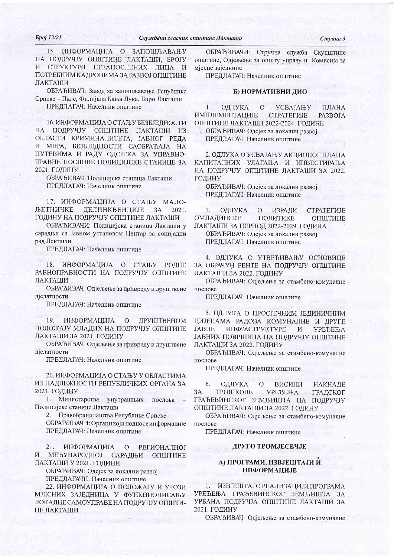#### *Gpoj 12/21*

Страна 3

ИНФОРМАЦИЈА О ЗАПОШЉАВАЊУ 15. НА ПОДРУЧЈУ ОПШТИНЕ ЛАКТАШИ, БРОЈУ И СТРУКТУРИ НЕЗАПОСЛЕНИХ ЛИЦА И ПОТРЕБНИМ КАДРОВИМА ЗА РАЗВОЈ ОПШТИНЕ ЛАКТАШИ

ОБРАЂИВАЧ: Завод за запошљавање Републике Српске – Пале, Филијала Бања Лука, Биро Лакташи ПРЕДЛАГАЧ: Начелник општине

16. ИНФОРМАЦИЈА О СТАЊУ БЕЗБЈЕЛНОСТИ НА ПОДРУЧЈУ ОПШТИНЕ ЛАКТАШИ ИЗ ОБЛАСТИ КРИМИНАЛИТЕТА, ЈАВНОГ РЕДА И МИРА, БЕЗБЈЕДНОСТИ САОБРАЋАЈА НА ПУТЕВИМА И РАДУ ОДСЈЕКА ЗА УПРАВНО-ПРАВНЕ ПОСЛОВЕ ПОЛИЦИЈСКЕ СТАНИЦЕ ЗА 2021. ГОДИНУ

ОБРАЂИВАЧ: Полицијска станица Лакташи ПРЕДЛАГАЧ: Начелник општине

17. ИНФОРМАЦИЈА О СТАЊУ МАЛО-ЉЕТНИЧКЕ ДЕЛИНКВЕНЦИЈЕ  $3A$ 2021 ГОДИНУ НА ПОДРУЧЈУ ОПШТИНЕ ЛАКТАШИ

ОБРАЂИВАЧИ: Полицијска станица Лакташи у сарадњи са Јавном установом Центар за социјални рад Лакташи

ПРЕДЛАГАЧ: Начелник општине

ИНФОРМАЦИЈА О СТАЊУ  $18.$ РОДНЕ РАВНОПРАВНОСТИ НА ПОДРУЧЈУ ОПШТИНЕ ЛАКТАШИ

ОБРАЂИВАЧ: Одјељење за привреду и друштвене дјелатности

ПРЕДЛАГАЧ: Начелник општине

19. ИНФОРМАЦИЈА  $\mathcal{O}$ ДРУШТВЕНОМ ПОЛОЖАЈУ МЛАДИХ НА ПОДРУЧЈУ ОПШТИНЕ ЛАКТАШИ ЗА 2021. ГОДИНУ

ОБРАЂИВАЧ: Одјељење за привреду и друштвене діелатности

ПРЕДЛАГАЧ: Начелник општине

20. ИНФОРМАЦИЈА О СТАЊУ У ОБЛАСТИМА ИЗ НАДЛЕЖНОСТИ РЕПУБЛИЧКИХ ОРГАНА ЗА 2021. ГОДИНУ

1. Министарства унутрашњих послова Полицијске станице Лакташи

2. Правобранилаштва Републике Српске

ОБРА ЂИВАЧИ: Органи који подносе информације ПРЕДЛАГАЧ: Начелник општине

 $21.$ ИНФОРМАЦИЈА О РЕГИОНАЛНОЈ САРАДЊИ И МЕЂУНАРОДНОЈ ОПШТИНЕ ЛАКТАШИ У 2021. ГОДИНИ

ОБРАЂИВАЧ: Одсјек за локални развој

ПРЕДЛАГАЧИ: Начелник општине

22. ИНФОРМАЦИЈА О ПОЛОЖАЈУ И УЛОЗИ МЈЕСНИХ ЗАЈЕДНИЦА У ФУНКЦИОНИСАЊУ ЛОКАЛНЕ САМОУПРАВЕ НА ПОДРУЧЈУ ОПШТИ-НЕ ЛАКТАШИ

**UNIVERSAL PRET BUNDA DULS NU** 

ОБРАЂИВАЧИ: Стручна служба Скупштине општине, Одјељење за општу управу и Комисија за мјесне заједнице

ПРЕДЛАГАЧ: Начелник општине

# Б) НОРМАТИВНИ ДИО

ОДЛУКА 4.  $\Omega$ УСВАЈАЊУ ПЛАНА ИМПЛЕМЕНТАЦИЈЕ **CTPATEFHJE** PA3BOJA ОПШТИНЕ ЛАКТАШИ 2022-2024. ГОДИНЕ ОБРАЂИВАЧ: Одејек за локални развој ПРЕДЛАГАЧ: Начелник општине

2. ОДЛУКА О УСВАЈАЊУ АКЦИОНОГ ПЛАНА КАПИТАЛНИХ УЛАГАЊА И ИНВЕСТИРАЊА НА ПОДРУЧЈУ ОПШТИНЕ ЛАКТАШИ ЗА 2022. ГОДИНУ

ОБРАЂИВАЧ: Одсјек за локални развој ПРЕДЛАГАЧ: Начелник општине

 $3.$ ОДЛУКА  $\Omega$ **ИЗРАДИ CTPATEFHJE** ОМЛАДИНСКЕ ПОЛИТИКЕ ОПШТИНЕ ЛАКТАШИ ЗА ПЕРИОД 2022-2029. ГОДИНА ОБРАЂИВАЧ: Одсјек за локални развој ПРЕДЛАГАЧ: Начелник општине

4. ОДЛУКА О УТВРЪИВАЊУ ОСНОВИЦЕ

ЗА ОБРАЧУН РЕНТЕ НА ПОДРУЧЈУ ОПШТИНЕ ЛАКТАШИ ЗА 2022. ГОДИНУ

ОБРАЂИВАЧ: Одјељење за стамбено-комуналне послове

ПРЕДЛАГАЧ: Начелник општине

5. ОДЛУКА О ПРОСЈЕЧНИМ ЈЕДИНИЧНИМ ЦИЈЕНАМА РАДОВА КОМУНАЛНЕ И ДРУГЕ **JABHE** ИНФРАСТРУКТУРЕ  $\mathbf{M}$ **УРЕЂЕЊА** ЈАВНИХ ПОВРШИНА НА ПОДРУЧЈУ ОПШТИНЕ ЛАКТАШИ ЗА 2022. ГОДИНУ

ОБРАЂИВАЧ: Одјељење за стамбено-комуналне послове

ПРЕДЛАГАЧ: Начелник општине

ОДЛУКА  $\overline{O}$ ВИСИНИ 6 НАКНАДЕ ТРОШКОВЕ 3A **УРЕЂЕЊА** ГРАДСКОГ ГРАЂЕВИНСКОГ ЗЕМЉИШТА НА ПОДРУЧЈУ ОПШТИНЕ ЛАКТАШИ ЗА 2022. ГОДИНУ

ОБРАЂИВАЧ: Одјељење за стамбено-комуналне послове

ПРЕДЛАГАЧ: Начелник општине

## ДРУГО ТРОМЈЕСЕЧЈЕ

# А) ПРОГРАМИ, ИЗВЈЕШТАЈИ И **ИНФОРМАЦИЈЕ**

ИЗВЈЕШТАЈ О РЕАЛИЗАЦИЈИ ПРОГРАМА УРЕЂЕЊА ГРАЂЕВИНСКОГ ЗЕМЉИШТА ЗА УРБАНА ПОДРУЧЈА ОПШТИНЕ ЛАКТАШИ ЗА 2021. ГОДИНУ

ОБРАЂИВАЧ: Одјељење за стамбено-комуналне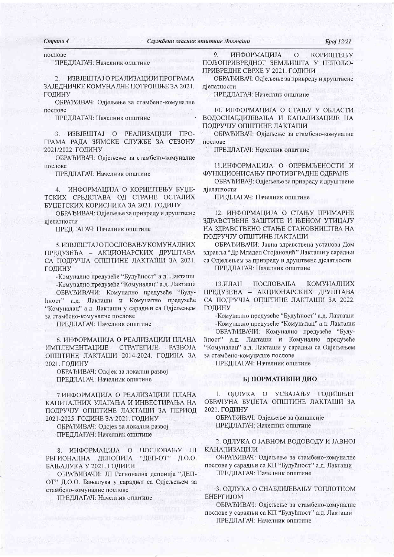Cmpana 4 послове

#### ПРЕДЛАГАЧ: Начелник општине

ИЗВЈЕШТАЈ О РЕАЛИЗАЦИЈИ ПРОГРАМА  $\overline{2}$ ЗАЈЕДНИЧКЕ КОМУНАЛНЕ ПОТРОШЊЕ ЗА 2021. ГОДИНУ

ОБРАЂИВАЧ: Одјељење за стамбено-комуналне послове

ПРЕДЛАГАЧ: Начелник општине

3. ИЗВЈЕШТАЈ О РЕАЛИЗАЦИЈИ ГРАМА РАДА ЗИМСКЕ СЛУЖБЕ ЗА СЕЗОНУ 2021/2022. ГОДИНУ

ОБРАЂИВАЧ: Одјељење за стамбено-комуналне послове

ПРЕДЛАГАЧ: Начелник општине

4. ИНФОРМАЦИЈА О КОРИШТЕЊУ БУЏЕ-ТСКИХ СРЕДСТАВА ОД СТРАНЕ ОСТАЛИХ БУЦЕТСКИХ КОРИСНИКА ЗА 2021. ГОДИНУ

ОБРАЂИВАЧ: Одјељење за привреду и друштвене дјелатности

ПРЕДЛАГАЧ: Начелник општине

5. ИЗВЈЕШТАЈ ОПОСЛОВАЊУ КОМУНАЛНИХ ПРЕДУЗЕЋА - АКЦИОНАРСКИХ ДРУШТАВА СА ПОДРУЧЈА ОПШТИНЕ ЛАКТАШИ ЗА 2021. ГОДИНУ

-Комунално предузеће "Будућност" а.д. Лакташи -Комунално предузеће "Комуналац" а.д. Лакташи

ОБРАЂИВАЧИ: Комунално предузеће "Будућност" а.д. Лакташи и Комунално предузеће "Комуналац" а.д. Лакташи у сарадњи са Одјељењем за стамбено-комуналне послове

ПРЕДЛАГАЧ: Начелник општине

6. ИНФОРМАЦИЈА О РЕАЛИЗАЦИЈИ ПЛАНА **ИМПЛЕМЕНТАЦИЈЕ CTPATEFMJE** PA3BOJA ОПШТИНЕ ЛАКТАШИ 2014-2024. ГОДИНА ЗА 2021. ГОДИНУ

ОБРАЂИВАЧ: Одсјек за локални развој ПРЕДЛАГАЧ: Начелник општине

7. ИНФОРМАЦИЈА О РЕАЛИЗАЦИЈИ ПЛАНА КАПИТАЛНИХ УЛАГАЊА И ИНВЕСТИРАЊА НА ПОДРУЧЈУ ОПШТИНЕ ЛАКТАШИ ЗА ПЕРИОД 2021-2025. ГОДИНЕ ЗА 2021. ГОДИНУ

ОБРАЂИВАЧ: Одејек за локални развој ПРЕДЛАГАЧ: Начелник општине

ПОСЛОВАЊУ ЈП 8. ИНФОРМАЦИЈА О РЕГИОНАЛНА ДЕПОНИЈА "ДЕП-ОТ" Д.О.О. БАЊАЛУКА У 2021. ГОДИНИ

ОБРАЂИВАЧИ: ЈП Регионална депонија "ДЕП-ОТ" Д.О.О. Бањалука у сарадњи са Одјељењем за стамбено-комуналне послове

ПРЕДЛАГАЧ: Начелник општине

 $9<sub>1</sub>$ ИНФОРМАЦИЈА КОРИШТЕЊУ  $\overline{O}$ ПОЉОПРИВРЕДНОГ ЗЕМЉИШТА У НЕПОЉО-ПРИВРЕДНЕ СВРХЕ У 2021. ГОДИНИ

ОБРАЂИВАЧ: Одјељење за привреду и друштвене дјелатности

ПРЕДЛАГАЧ: Начелник општине

10. ИНФОРМАЦИЈА О СТАЊУ У ОБЛАСТИ ВОДОСНАБДИЈЕВАЊА И КАНАЛИЗАЦИЈЕ НА ПОДРУЧЈУ ОПШТИНЕ ЛАКТАШИ

ОБРАЂИВАЧ: Одјељење за стамбено-комуналне послове

ПРЕДЛАГАЧ: Начелник општине

11. ИНФОРМАЦИЈА О ОПРЕМЉЕНОСТИ И ФУНКЦИОНИСАЊУ ПРОТИВГРАДНЕ ОДБРАНЕ

ОБРАЂИВАЧ: Одјељење за привреду и друштвене дјелатности

ПРЕДЛАГАЧ: Начелник општине

12. ИНФОРМАЦИЈА О СТАЊУ ПРИМАРНЕ ЗДРАВСТВЕНЕ ЗАШТИТЕ И ЊЕНОМ УТИЦАЈУ НА ЗДРАВСТВЕНО СТАЊЕ СТАНОВНИШТВА НА ПОДРУЧЈУ ОПШТИНЕ ЛАКТАШИ

ОБРАЂИВАЧИ: Јавна здравствена установа Дом здравља "Др Младен Стојановић" Лакташи у сарадњи са Одјељењем за привреду и друштвене дјелатности ПРЕДЛАГАЧ: Начелник општине

ПОСЛОВАЊА **КОМУНАЛНИХ**  $13.$  $\Pi$  $\Pi$  $AH$ ПРЕДУЗЕЋА - АКЦИОНАРСКИХ ДРУШТАВА СА ПОДРУЧЈА ОПШТИНЕ ЛАКТАШИ ЗА 2022. ГОДИНУ

-Комунално предузеће "Будућност" а.д. Лакташи -Комунално предузеће "Комуналац" а.д. Лакташи ОБРАЂИВАЧИ: Комунално предузеће "Будућност" а.д. Лакташи и Комунално предузеће "Комуналац" а.д. Лакташи у сарадњи са Одјељењем за стамбено-комуналне послове

ПРЕДЛАГАЧ: Начелник општине

#### Б) НОРМАТИВНИ ДИО

І. ОДЛУКА О УСВАЈАЊУ ГОДИШЊЕГ ОБРАЧУНА БУЏЕТА ОПШТИНЕ ЛАКТАШИ ЗА 2021. ГОДИНУ

ОБРАЂИВАЧ: Одјељење за финансије ПРЕДЛАГАЧ: Начелник општине

2. ОДЛУКА О ЈАВНОМ ВОДОВОДУ И ЈАВНОЈ КАНАЛИЗАЦИЈИ

ОБРАЂИВАЧ: Одјељење за стамбено-комуналне послове у сарадњи са КП "Будућност" а.д. Лакташи ПРЕДЛАГАЧ: Начелник општине

# 3. ОДЛУКА О СНАБДИЈЕВАЊУ ТОПЛОТНОМ ЕНЕРГИЈОМ

ОБРАЂИВАЧ: Одјељење за стамбено-комуналне послове у сарадњи са КП "Будућност" а.д. Лакташи ПРЕДЛАГАЧ: Начелник општине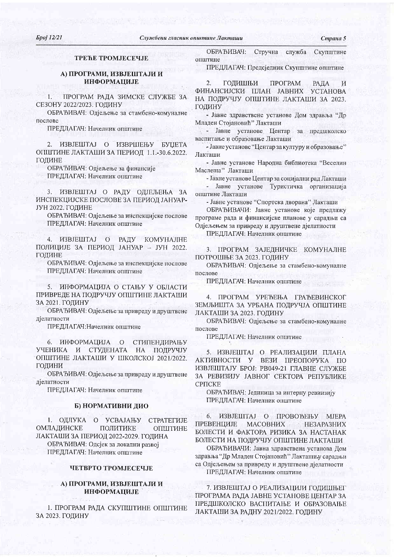Страна 5

# **TPETE TPOMJECELLE**

## А) ПРОГРАМИ, ИЗВЈЕШТАЈИ И **ИНФОРМАЦИЈЕ**

 $1.$ ПРОГРАМ РАДА ЗИМСКЕ СЛУЖБЕ ЗА СЕЗОНУ 2022/2023. ГОДИНУ

ОБРАЂИВАЧ: Одјељење за стамбено-комуналне послове

ПРЕДЛАГАЧ: Начелник општине

2. ИЗВЈЕШТАЈ О ИЗВРШЕЊУ БУЏЕТА ОПШТИНЕ ЛАКТАШИ ЗА ПЕРИОД 1.1.-30.6.2022. ГОЛИНЕ

ОБРАЂИВАЧ: Одјељење за финансије ПРЕДЛАГАЧ: Начелник општине

3. ИЗВЈЕШТАЈ О РАДУ ОДЈЕЉЕЊА ЗА ИНСПЕКЦИЈСКЕ ПОСЛОВЕ ЗА ПЕРИОД ЈАНУАР-ЈУН 2022. ГОДИНЕ

ОБРАЂИВАЧ: Одјељење за инспекцијске послове ПРЕДЛАГАЧ: Начелник општине

4. ИЗВЈЕШТАЈ О РАДУ КОМУНАЛНЕ ПОЛИЦИЈЕ ЗА ПЕРИОД ЈАНУАР - ЈУН 2022. ГОДИНЕ

ОБРАЂИВАЧ: Одјељење за инспекцијске послове ПРЕДЛАГАЧ: Начелник општине

5. ИНФОРМАЦИЈА О СТАЊУ У ОБЛАСТИ ПРИВРЕДЕ НА ПОДРУЧЈУ ОПШТИНЕ ЛАКТАШИ ЗА 2021. ГОЛИНУ

ОБРАЂИВАЧ: Одјељење за привреду и друштвене дјелатности

ПРЕДЛАГАЧ: Начелник општине

6. ИНФОРМАЦИЈА О СТИПЕНДИРАЊУ УЧЕНИКА И СТУДЕНАТА НА ПОДРУЧЈУ ОПШТИНЕ ЛАКТАШИ У ШКОЛСКОЈ 2021/2022. ГОДИНИ

ОБРАЂИВАЧ: Одјељење за привреду и друштвене дјелатности

ПРЕДЛАГАЧ: Начелник општине

#### Б) НОРМАТИВНИ ДИО

1. ОДЛУКА О УСВАЈАЊУ **CTPATEFMJE** ОМЛАДИНСКЕ ПОЛИТИКЕ ОПШТИНЕ ЛАКТАШИ ЗА ПЕРИОД 2022-2029. ГОДИНА ОБРАЂИВАЧ: Одсјек за локални развој ПРЕДЛАГАЧ: Начелник општине

# ЧЕТВРТО ТРОМЈЕСЕЧЈЕ

## А) ПРОГРАМИ, ИЗВЈЕШТАЈИ И **ИНФОРМАЦИЈЕ**

1. ПРОГРАМ РАДА СКУПШТИНЕ ОПШТИНЕ ЗА 2023. ГОДИНУ

ОБРАЂИВАЧ: Стручна служба Скупштине општине

ПРЕДЛАГАЧ: Предсједник Скупштине општине

ГОДИШЊИ ПРОГРАМ  $\overline{2}$ . **РАДА**  $\overline{\mathbf{M}}$ ФИНАНСИЈСКИ ПЛАН ЈАВНИХ УСТАНОВА НА ПОДРУЧЈУ ОПШТИНЕ ЛАКТАШИ ЗА 2023. ГОДИНУ

- Јавне здравствене установе Дом здравља "Др Младен Стојановић" Лакташи

- Јавне установе Центар за предшколско васпитање и образовање Лакташи

- Јавне установе "Центар за културу и образовање" Лакташи

- Јавне установе Народна библиотека "Веселин Маслеша" Лакташи

- Јавне установе Центар за социјални рад Лакташи

- Јавне установе Туристичка организација општине Лакташи

- Јавне установе "Спортска дворана" Лакташи

ОБРАЂИВАЧИ: Јавне установе које предлажу програме рада и финансијске планове у сарадњи са Одјељењем за привреду и друштвене дјелатности

ПРЕДЛАГАЧ: Начелник општине

3. ПРОГРАМ ЗАЈЕДНИЧКЕ КОМУНАЛНЕ ПОТРОШЊЕ ЗА 2023. ГОДИНУ

ОБРАЂИВАЧ: Одіељење за стамбено-комуналне послове

ПРЕДЛАГАЧ: Начелник општине

4. ПРОГРАМ УРЕЂЕЊА ГРАЂЕВИНСКОГ ЗЕМЉИШТА ЗА УРБАНА ПОДРУЧЈА ОПШТИНЕ ЛАКТАШИ ЗА 2023. ГОДИНУ

ОБРАЂИВАЧ: Одјељење за стамбено-комуналне послове

ПРЕДЛАГАЧ: Начелник општине

5. ИЗВЈЕШТАЈ О РЕАЛИЗАЦИЈИ ПЛАНА АКТИВНОСТИ У ВЕЗИ ПРЕОПОРУКА ПО ИЗВЈЕШТАЈУ БРОЈ: РВ049-21 ГЛАВНЕ СЛУЖБЕ ЗА РЕВИЗИЈУ ЈАВНОГ СЕКТОРА РЕПУБЛИКЕ **CPITCKE** 

ОБРАЂИВАЧ: Јединица за интерну ревиизију ПРЕДЛАГАЧ: Начелник општине

6. ИЗВЈЕШТАЈ О ПРОВОЂЕЊУ МЈЕРА ПРЕВЕНЦИЈЕ МАСОВНИХ **НЕЗАРАЗНИХ** БОЛЕСТИ И ФАКТОРА РИЗИКА ЗА НАСТАНАК БОЛЕСТИ НА ПОДРУЧЈУ ОПШТИНЕ ЛАКТАШИ

ОБРАЂИВАЧИ: Јавна здравствена установа Дом здравља "Др Младен Стојановић" Лакташи у сарадњи са Одјељењем за привреду и друштвене дјелатности ПРЕДЛАГАЧ: Начелник општине

7. ИЗВЈЕШТАЈ О РЕАЛИЗАЦИЈИ ГОДИШЊЕГ ПРОГРАМА РАДА ЈАВНЕ УСТАНОВЕ ЦЕНТАР ЗА ПРЕДШКОЛСКО ВАСПИТАЊЕ И ОБРАЗОВАЊЕ ЛАКТАШИ ЗА РАДНУ 2021/2022. ГОДИНУ